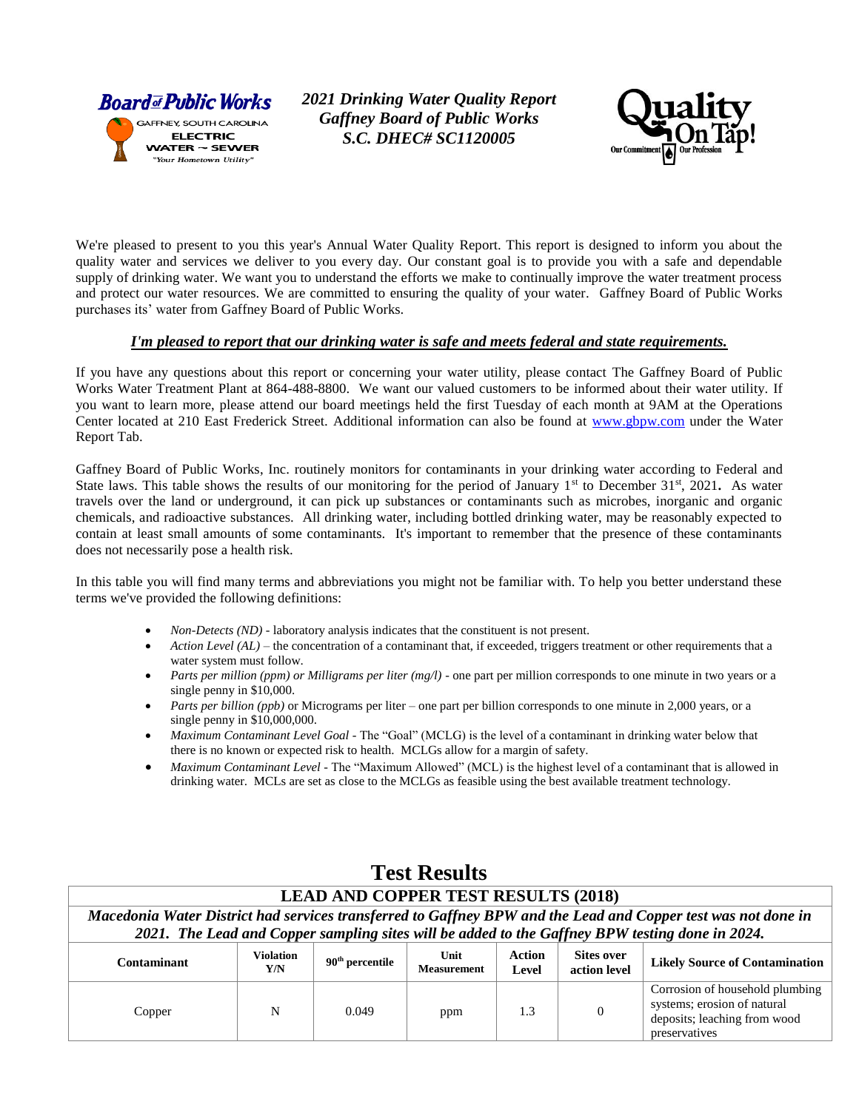

*2021 Drinking Water Quality Report Gaffney Board of Public Works S.C. DHEC# SC1120005*



We're pleased to present to you this year's Annual Water Quality Report. This report is designed to inform you about the quality water and services we deliver to you every day. Our constant goal is to provide you with a safe and dependable supply of drinking water. We want you to understand the efforts we make to continually improve the water treatment process and protect our water resources. We are committed to ensuring the quality of your water. Gaffney Board of Public Works purchases its' water from Gaffney Board of Public Works.

## *I'm pleased to report that our drinking water is safe and meets federal and state requirements.*

If you have any questions about this report or concerning your water utility, please contact The Gaffney Board of Public Works Water Treatment Plant at 864-488-8800.We want our valued customers to be informed about their water utility. If you want to learn more, please attend our board meetings held the first Tuesday of each month at 9AM at the Operations Center located at 210 East Frederick Street. Additional information can also be found at [www.gbpw.com](http://www.gbpw.com/) under the Water Report Tab.

Gaffney Board of Public Works, Inc. routinely monitors for contaminants in your drinking water according to Federal and State laws. This table shows the results of our monitoring for the period of January  $1<sup>st</sup>$  to December  $31<sup>st</sup>$ ,  $2021$ . As water travels over the land or underground, it can pick up substances or contaminants such as microbes, inorganic and organic chemicals, and radioactive substances. All drinking water, including bottled drinking water, may be reasonably expected to contain at least small amounts of some contaminants. It's important to remember that the presence of these contaminants does not necessarily pose a health risk.

In this table you will find many terms and abbreviations you might not be familiar with. To help you better understand these terms we've provided the following definitions:

- *Non-Detects (ND)* laboratory analysis indicates that the constituent is not present.
- *Action Level (AL)* the concentration of a contaminant that, if exceeded, triggers treatment or other requirements that a water system must follow.
- *Parts per million (ppm) or Milligrams per liter (mg/l)* one part per million corresponds to one minute in two years or a single penny in \$10,000.
- *Parts per billion (ppb)* or Micrograms per liter one part per billion corresponds to one minute in 2,000 years, or a single penny in \$10,000,000.
- *Maximum Contaminant Level Goal* The "Goal" (MCLG) is the level of a contaminant in drinking water below that there is no known or expected risk to health. MCLGs allow for a margin of safety.
- *Maximum Contaminant Level* The "Maximum Allowed" (MCL) is the highest level of a contaminant that is allowed in drinking water. MCLs are set as close to the MCLGs as feasible using the best available treatment technology.

| <b>LEAD AND COPPER TEST RESULTS (2018)</b>                                                                                                                                                                       |                         |                             |                            |                 |                                   |                                                                                                                 |  |  |  |  |
|------------------------------------------------------------------------------------------------------------------------------------------------------------------------------------------------------------------|-------------------------|-----------------------------|----------------------------|-----------------|-----------------------------------|-----------------------------------------------------------------------------------------------------------------|--|--|--|--|
| Macedonia Water District had services transferred to Gaffney BPW and the Lead and Copper test was not done in<br>2021. The Lead and Copper sampling sites will be added to the Gaffney BPW testing done in 2024. |                         |                             |                            |                 |                                   |                                                                                                                 |  |  |  |  |
|                                                                                                                                                                                                                  |                         |                             |                            |                 |                                   |                                                                                                                 |  |  |  |  |
| Contaminant                                                                                                                                                                                                      | <b>Violation</b><br>Y/N | $90^{\text{th}}$ percentile | Unit<br><b>Measurement</b> | Action<br>Level | <b>Sites over</b><br>action level | <b>Likely Source of Contamination</b>                                                                           |  |  |  |  |
| Copper                                                                                                                                                                                                           | N                       | 0.049                       | ppm                        | 1.3             | $\mathbf{0}$                      | Corrosion of household plumbing<br>systems; erosion of natural<br>deposits; leaching from wood<br>preservatives |  |  |  |  |

**Test Results**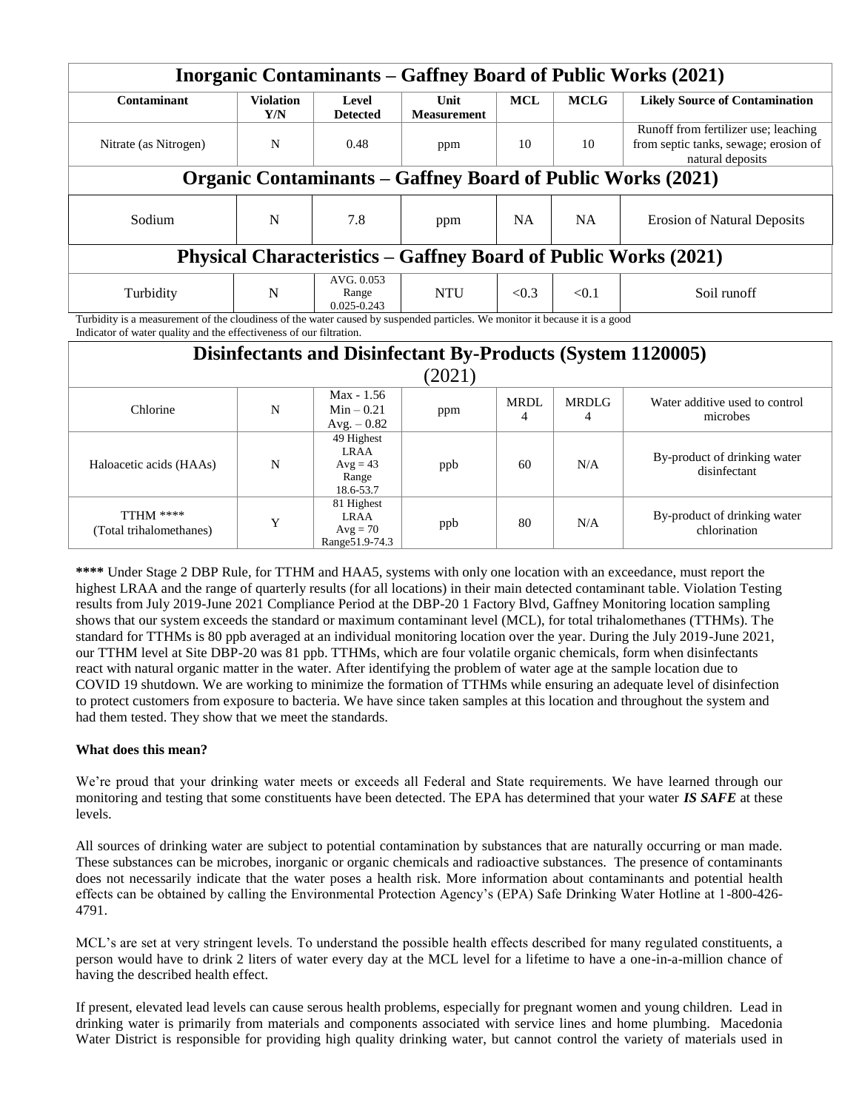|                                                                                                                                                                                                    |                         |                                               |                                                                    |                  |                   | <b>Inorganic Contaminants – Gaffney Board of Public Works (2021)</b>                                                                                                                                                                                                                                                                        |  |  |
|----------------------------------------------------------------------------------------------------------------------------------------------------------------------------------------------------|-------------------------|-----------------------------------------------|--------------------------------------------------------------------|------------------|-------------------|---------------------------------------------------------------------------------------------------------------------------------------------------------------------------------------------------------------------------------------------------------------------------------------------------------------------------------------------|--|--|
| Contaminant                                                                                                                                                                                        | <b>Violation</b><br>Y/N | Level<br><b>Detected</b>                      | Unit<br><b>Measurement</b>                                         | <b>MCL</b>       | <b>MCLG</b>       | <b>Likely Source of Contamination</b>                                                                                                                                                                                                                                                                                                       |  |  |
| Nitrate (as Nitrogen)                                                                                                                                                                              | N                       | 0.48                                          | ppm                                                                | 10               | 10                | Runoff from fertilizer use; leaching<br>from septic tanks, sewage; erosion of<br>natural deposits                                                                                                                                                                                                                                           |  |  |
|                                                                                                                                                                                                    |                         |                                               |                                                                    |                  |                   | <b>Organic Contaminants - Gaffney Board of Public Works (2021)</b>                                                                                                                                                                                                                                                                          |  |  |
| Sodium                                                                                                                                                                                             | N                       | 7.8                                           | ppm                                                                | NA               | <b>NA</b>         | <b>Erosion of Natural Deposits</b>                                                                                                                                                                                                                                                                                                          |  |  |
| <b>Physical Characteristics - Gaffney Board of Public Works (2021)</b>                                                                                                                             |                         |                                               |                                                                    |                  |                   |                                                                                                                                                                                                                                                                                                                                             |  |  |
| Turbidity                                                                                                                                                                                          | N                       | AVG. 0.053<br>Range<br>$0.025 - 0.243$        | <b>NTU</b>                                                         | < 0.3            | < 0.1             | Soil runoff                                                                                                                                                                                                                                                                                                                                 |  |  |
| Turbidity is a measurement of the cloudiness of the water caused by suspended particles. We monitor it because it is a good<br>Indicator of water quality and the effectiveness of our filtration. |                         |                                               |                                                                    |                  |                   |                                                                                                                                                                                                                                                                                                                                             |  |  |
|                                                                                                                                                                                                    |                         |                                               | <b>Disinfectants and Disinfectant By-Products (System 1120005)</b> |                  |                   |                                                                                                                                                                                                                                                                                                                                             |  |  |
|                                                                                                                                                                                                    |                         |                                               | (2021)                                                             |                  |                   |                                                                                                                                                                                                                                                                                                                                             |  |  |
| Chlorine                                                                                                                                                                                           | N                       | $Max - 1.56$<br>$Min - 0.21$<br>$Avg. - 0.82$ | ppm                                                                | <b>MRDL</b><br>4 | <b>MRDLG</b><br>4 | Water additive used to control<br>microbes                                                                                                                                                                                                                                                                                                  |  |  |
| Haloacetic acids (HAAs)                                                                                                                                                                            | N                       | 49 Highest<br><b>LRAA</b><br>$Avg = 43$       | ppb                                                                | 60               | N/A               | By-product of drinking water<br>$\mathbf{1}$ : $\mathbf{1}$ : $\mathbf{1}$ : $\mathbf{1}$ : $\mathbf{1}$ : $\mathbf{1}$ : $\mathbf{1}$ : $\mathbf{1}$ : $\mathbf{1}$ : $\mathbf{1}$ : $\mathbf{1}$ : $\mathbf{1}$ : $\mathbf{1}$ : $\mathbf{1}$ : $\mathbf{1}$ : $\mathbf{1}$ : $\mathbf{1}$ : $\mathbf{1}$ : $\mathbf{1}$ : $\mathbf{1}$ : |  |  |

disinfectant

chlorination

ppb  $\begin{vmatrix} 80 \end{vmatrix}$  N/A By-product of drinking water

**\*\*\*\*** Under Stage 2 DBP Rule, for TTHM and HAA5, systems with only one location with an exceedance, must report the highest LRAA and the range of quarterly results (for all locations) in their main detected contaminant table. Violation Testing results from July 2019-June 2021 Compliance Period at the DBP-20 1 Factory Blvd, Gaffney Monitoring location sampling shows that our system exceeds the standard or maximum contaminant level (MCL), for total trihalomethanes (TTHMs). The standard for TTHMs is 80 ppb averaged at an individual monitoring location over the year. During the July 2019-June 2021, our TTHM level at Site DBP-20 was 81 ppb. TTHMs, which are four volatile organic chemicals, form when disinfectants react with natural organic matter in the water. After identifying the problem of water age at the sample location due to COVID 19 shutdown. We are working to minimize the formation of TTHMs while ensuring an adequate level of disinfection to protect customers from exposure to bacteria. We have since taken samples at this location and throughout the system and had them tested. They show that we meet the standards.

Range 18.6-53.7

81 Highest LRAA  $Avg = 70$ Range51.9-74.3

## **What does this mean?**

TTHM \*\*\*\*

(Total trihalomethanes) <sup>Y</sup>

We're proud that your drinking water meets or exceeds all Federal and State requirements. We have learned through our monitoring and testing that some constituents have been detected. The EPA has determined that your water *IS SAFE* at these levels.

All sources of drinking water are subject to potential contamination by substances that are naturally occurring or man made. These substances can be microbes, inorganic or organic chemicals and radioactive substances. The presence of contaminants does not necessarily indicate that the water poses a health risk. More information about contaminants and potential health effects can be obtained by calling the Environmental Protection Agency's (EPA) Safe Drinking Water Hotline at 1-800-426- 4791.

MCL's are set at very stringent levels. To understand the possible health effects described for many regulated constituents, a person would have to drink 2 liters of water every day at the MCL level for a lifetime to have a one-in-a-million chance of having the described health effect.

If present, elevated lead levels can cause serous health problems, especially for pregnant women and young children. Lead in drinking water is primarily from materials and components associated with service lines and home plumbing. Macedonia Water District is responsible for providing high quality drinking water, but cannot control the variety of materials used in